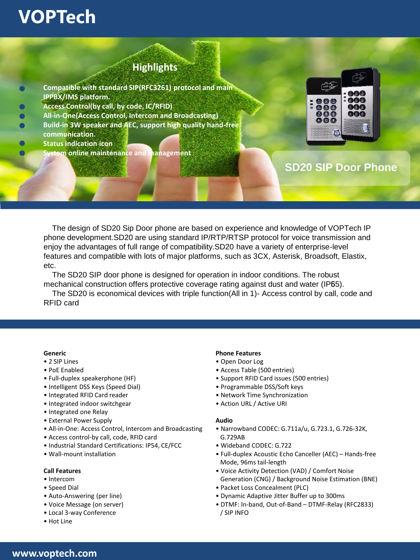# **VOPTech**

### **Highlights**

- **Compatible with standard SIP(RFC3261) protocol and main IPPBX/IMS platform.**
- **Access Control(by call, by code, IC/RFID)**
- **All-in-One(Access Control, Intercom and Broadcasting)**
- **Build-in 3W speaker and AEC, support high quality hand-free communication.** 
	- **Status indication icon** 
		- **System online maintenance and management**



## **SD20 SIP Door Phone**

The design of SD20 Sip Door phone are based on experience and knowledge of VOPTech IP phone development.SD20 are using standard IP/RTP/RTSP protocol for voice transmission and enjoy the advantages of full range of compatibility.SD20 have a variety of enterprise-level features and compatible with lots of major platforms, such as 3CX, Asterisk, Broadsoft, Elastix, etc.

The SD20 SIP door phone is designed for operation in indoor conditions. The robust mechanical construction offers protective coverage rating against dust and water (IP65).

The SD20 is economical devices with triple function(All in 1)- Access control by call, code and RFID card

### **Generic**

- 2 SIP Lines
- PoE Enabled
- Full-duplex speakerphone (HF)
- Intelligent DSS Keys (Speed Dial)
- Integrated RFID Card reader
- Integrated indoor switchgear
- Integrated one Relay
- External Power Supply
- All-in-One: Access Control, Intercom and Broadcasting
- Access control-by call, code, RFID card
- Industrial Standard Certifications: IP54, CE/FCC
- Wall-mount installation

### **Call Features**

- Intercom
- Speed Dial
- Auto-Answering (per line)
- Voice Message (on server)
- Local 3-way Conference
- Hot Line

### **Phone Features**

- Open Door Log
- Access Table (500 entries)
- Support RFID Card issues (500 entries)
- Programmable DSS/Soft keys
- Network Time Synchronization
- Action URL / Active URI

### **Audio**

- Narrowband CODEC: G.711a/u, G.723.1, G.726-32K, G.729AB
- Wideband CODEC: G.722
- Full-duplex Acoustic Echo Canceller (AEC) Hands-free Mode, 96ms tail-length
- Voice Activity Detection (VAD) / Comfort Noise Generation (CNG) / Background Noise Estimation (BNE)
- Packet Loss Concealment (PLC)
- Dynamic Adaptive Jitter Buffer up to 300ms
- DTMF: In-band, Out-of-Band DTMF-Relay (RFC2833) / SIP INFO